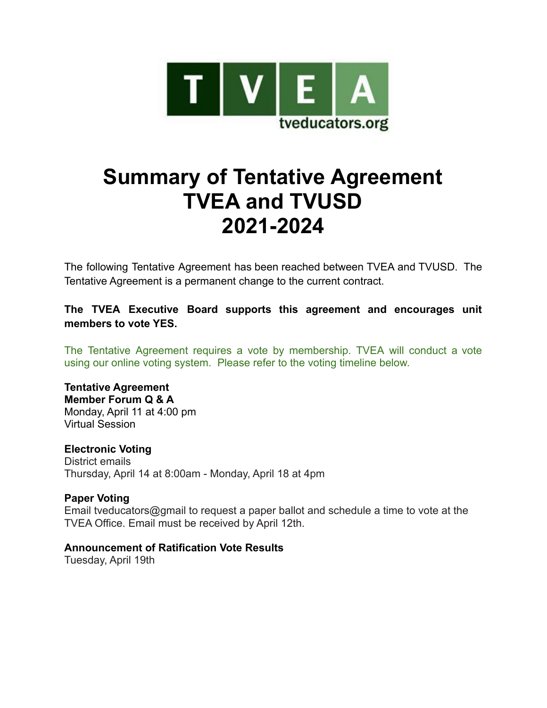

# **Summary of Tentative Agreement TVEA and TVUSD 2021-2024**

The following Tentative Agreement has been reached between TVEA and TVUSD. The Tentative Agreement is a permanent change to the current contract.

**The TVEA Executive Board supports this agreement and encourages unit members to vote YES.**

The Tentative Agreement requires a vote by membership. TVEA will conduct a vote using our online voting system. Please refer to the voting timeline below.

#### **Tentative Agreement Member Forum Q & A** Monday, April 11 at 4:00 pm Virtual Session

**Electronic Voting** District emails Thursday, April 14 at 8:00am - Monday, April 18 at 4pm

#### **Paper Voting** Email tveducators@gmail to request a paper ballot and schedule a time to vote at the TVEA Office. Email must be received by April 12th.

# **Announcement of Ratification Vote Results**

Tuesday, April 19th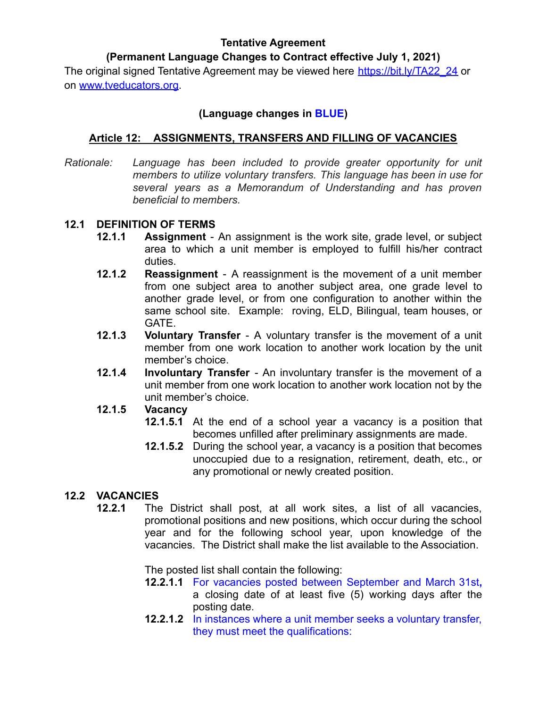### **Tentative Agreement**

# **(Permanent Language Changes to Contract effective July 1, 2021)**

The original signed Tentative Agreement may be viewed here [https://bit.ly/TA22\\_24](https://bit.ly/TA22_24) or on [www.tveducators.org](http://www.tveducators.org).

# **(Language changes in BLUE)**

# **Article 12: ASSIGNMENTS, TRANSFERS AND FILLING OF VACANCIES**

*Rationale: Language has been included to provide greater opportunity for unit members to utilize voluntary transfers. This language has been in use for several years as a Memorandum of Understanding and has proven beneficial to members.*

#### **12.1 DEFINITION OF TERMS**

- **12.1.1 Assignment** An assignment is the work site, grade level, or subject area to which a unit member is employed to fulfill his/her contract duties.
- **12.1.2 Reassignment** A reassignment is the movement of a unit member from one subject area to another subject area, one grade level to another grade level, or from one configuration to another within the same school site. Example: roving, ELD, Bilingual, team houses, or GATE.
- **12.1.3 Voluntary Transfer** A voluntary transfer is the movement of a unit member from one work location to another work location by the unit member's choice.
- **12.1.4 Involuntary Transfer** An involuntary transfer is the movement of a unit member from one work location to another work location not by the unit member's choice.

#### **12.1.5 Vacancy**

- **12.1.5.1** At the end of a school year a vacancy is a position that becomes unfilled after preliminary assignments are made.
- **12.1.5.2** During the school year, a vacancy is a position that becomes unoccupied due to a resignation, retirement, death, etc., or any promotional or newly created position.

# **12.2 VACANCIES**

**12.2.1** The District shall post, at all work sites, a list of all vacancies, promotional positions and new positions, which occur during the school year and for the following school year, upon knowledge of the vacancies. The District shall make the list available to the Association.

The posted list shall contain the following:

- **12.2.1.1** For vacancies posted between September and March 31st**,** a closing date of at least five (5) working days after the posting date.
- **12.2.1.2** In instances where a unit member seeks a voluntary transfer, they must meet the qualifications: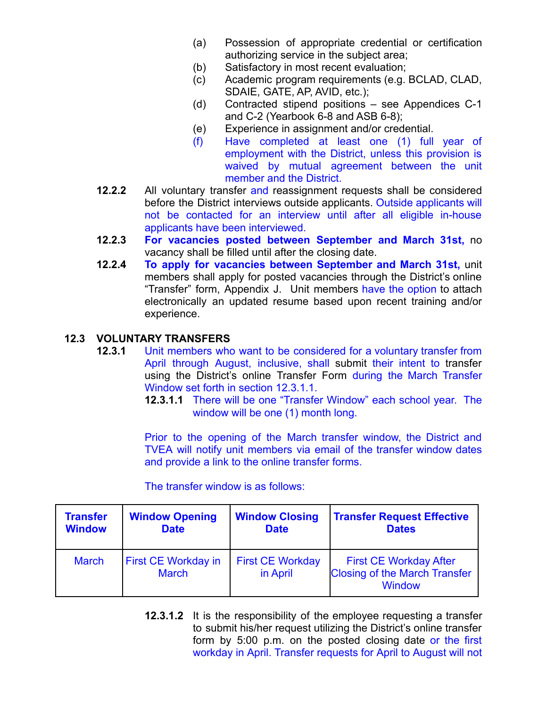- (a) Possession of appropriate credential or certification authorizing service in the subject area;
- (b) Satisfactory in most recent evaluation;
- (c) Academic program requirements (e.g. BCLAD, CLAD, SDAIE, GATE, AP, AVID, etc.);
- (d) Contracted stipend positions see Appendices C-1 and C-2 (Yearbook 6-8 and ASB 6-8);
- (e) Experience in assignment and/or credential.
- (f) Have completed at least one (1) full year of employment with the District, unless this provision is waived by mutual agreement between the unit member and the District.
- **12.2.2** All voluntary transfer and reassignment requests shall be considered before the District interviews outside applicants. Outside applicants will not be contacted for an interview until after all eligible in-house applicants have been interviewed.
- **12.2.3 For vacancies posted between September and March 31st,** no vacancy shall be filled until after the closing date.
- **12.2.4 To apply for vacancies between September and March 31st,** unit members shall apply for posted vacancies through the District's online "Transfer" form, Appendix J. Unit members have the option to attach electronically an updated resume based upon recent training and/or experience.

### **12.3 VOLUNTARY TRANSFERS**

- **12.3.1** Unit members who want to be considered for a voluntary transfer from April through August, inclusive, shall submit their intent to transfer using the District's online Transfer Form during the March Transfer Window set forth in section 12.3.1.1.
	- **12.3.1.1** There will be one "Transfer Window" each school year. The window will be one (1) month long.

Prior to the opening of the March transfer window, the District and TVEA will notify unit members via email of the transfer window dates and provide a link to the online transfer forms.

The transfer window is as follows:

| <b>Transfer</b> | <b>Window Opening</b>                      | <b>Window Closing</b>               | <b>Transfer Request Effective</b>                                                      |  |  |  |  |
|-----------------|--------------------------------------------|-------------------------------------|----------------------------------------------------------------------------------------|--|--|--|--|
| <b>Window</b>   | <b>Date</b>                                | <b>Date</b>                         | <b>Dates</b>                                                                           |  |  |  |  |
| <b>March</b>    | <b>First CE Workday in</b><br><b>March</b> | <b>First CE Workday</b><br>in April | <b>First CE Workday After</b><br><b>Closing of the March Transfer</b><br><b>Window</b> |  |  |  |  |

**12.3.1.2** It is the responsibility of the employee requesting a transfer to submit his/her request utilizing the District's online transfer form by 5:00 p.m. on the posted closing date or the first workday in April. Transfer requests for April to August will not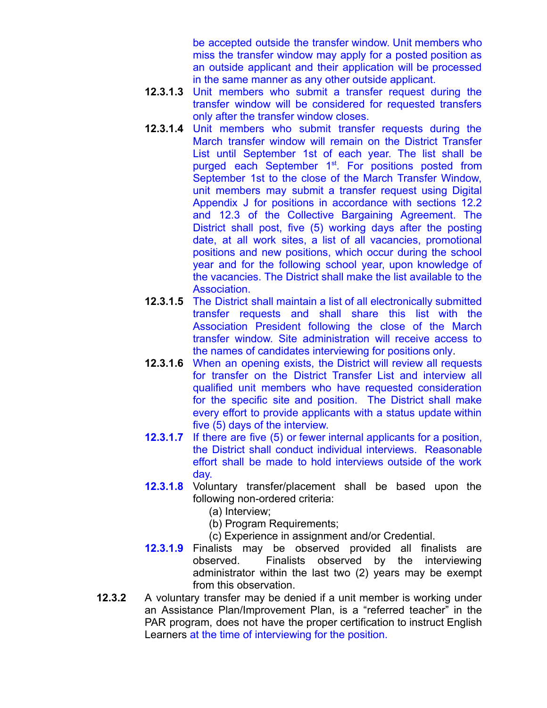be accepted outside the transfer window. Unit members who miss the transfer window may apply for a posted position as an outside applicant and their application will be processed in the same manner as any other outside applicant.

- **12.3.1.3** Unit members who submit a transfer request during the transfer window will be considered for requested transfers only after the transfer window closes.
- **12.3.1.4** Unit members who submit transfer requests during the March transfer window will remain on the District Transfer List until September 1st of each year. The list shall be purged each September 1<sup>st</sup>. For positions posted from September 1st to the close of the March Transfer Window, unit members may submit a transfer request using Digital Appendix J for positions in accordance with sections 12.2 and 12.3 of the Collective Bargaining Agreement. The District shall post, five (5) working days after the posting date, at all work sites, a list of all vacancies, promotional positions and new positions, which occur during the school year and for the following school year, upon knowledge of the vacancies. The District shall make the list available to the Association.
- **12.3.1.5** The District shall maintain a list of all electronically submitted transfer requests and shall share this list with the Association President following the close of the March transfer window. Site administration will receive access to the names of candidates interviewing for positions only.
- **12.3.1.6** When an opening exists, the District will review all requests for transfer on the District Transfer List and interview all qualified unit members who have requested consideration for the specific site and position. The District shall make every effort to provide applicants with a status update within five (5) days of the interview.
- **12.3.1.7** If there are five (5) or fewer internal applicants for a position, the District shall conduct individual interviews. Reasonable effort shall be made to hold interviews outside of the work day.
- **12.3.1.8** Voluntary transfer/placement shall be based upon the following non-ordered criteria:
	- (a) Interview;
	- (b) Program Requirements;
	- (c) Experience in assignment and/or Credential.
- **12.3.1.9** Finalists may be observed provided all finalists are observed. Finalists observed by the interviewing administrator within the last two (2) years may be exempt from this observation.
- **12.3.2** A voluntary transfer may be denied if a unit member is working under an Assistance Plan/Improvement Plan, is a "referred teacher" in the PAR program, does not have the proper certification to instruct English Learners at the time of interviewing for the position.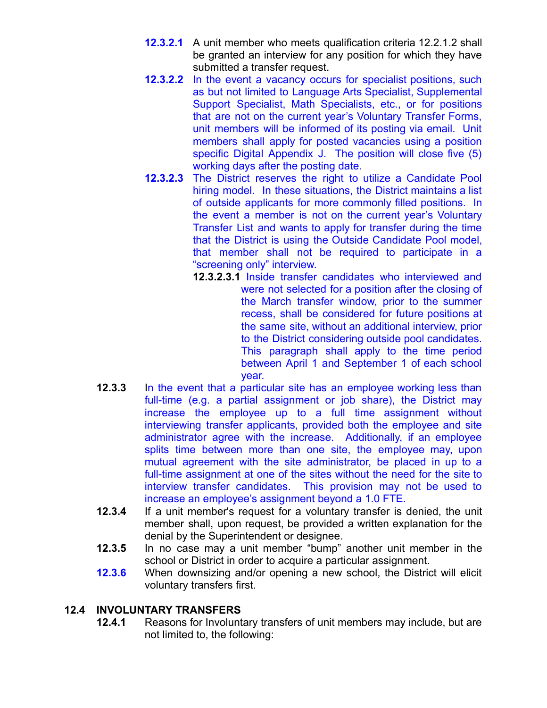- **12.3.2.1** A unit member who meets qualification criteria 12.2.1.2 shall be granted an interview for any position for which they have submitted a transfer request.
- **12.3.2.2** In the event a vacancy occurs for specialist positions, such as but not limited to Language Arts Specialist, Supplemental Support Specialist, Math Specialists, etc., or for positions that are not on the current year's Voluntary Transfer Forms, unit members will be informed of its posting via email. Unit members shall apply for posted vacancies using a position specific Digital Appendix J. The position will close five (5) working days after the posting date.
- **12.3.2.3** The District reserves the right to utilize a Candidate Pool hiring model. In these situations, the District maintains a list of outside applicants for more commonly filled positions. In the event a member is not on the current year's Voluntary Transfer List and wants to apply for transfer during the time that the District is using the Outside Candidate Pool model, that member shall not be required to participate in a "screening only" interview.
	- **12.3.2.3.1** Inside transfer candidates who interviewed and were not selected for a position after the closing of the March transfer window, prior to the summer recess, shall be considered for future positions at the same site, without an additional interview, prior to the District considering outside pool candidates. This paragraph shall apply to the time period between April 1 and September 1 of each school year.
- **12.3.3** In the event that a particular site has an employee working less than full-time (e.g. a partial assignment or job share), the District may increase the employee up to a full time assignment without interviewing transfer applicants, provided both the employee and site administrator agree with the increase. Additionally, if an employee splits time between more than one site, the employee may, upon mutual agreement with the site administrator, be placed in up to a full-time assignment at one of the sites without the need for the site to interview transfer candidates. This provision may not be used to increase an employee's assignment beyond a 1.0 FTE.
- **12.3.4** If a unit member's request for a voluntary transfer is denied, the unit member shall, upon request, be provided a written explanation for the denial by the Superintendent or designee.
- **12.3.5** In no case may a unit member "bump" another unit member in the school or District in order to acquire a particular assignment.
- **12.3.6** When downsizing and/or opening a new school, the District will elicit voluntary transfers first.

# **12.4 INVOLUNTARY TRANSFERS**

**12.4.1** Reasons for Involuntary transfers of unit members may include, but are not limited to, the following: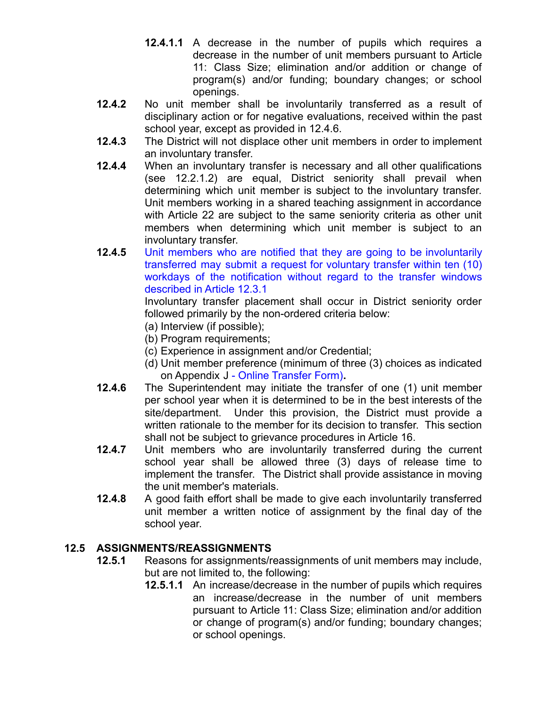- **12.4.1.1** A decrease in the number of pupils which requires a decrease in the number of unit members pursuant to Article 11: Class Size; elimination and/or addition or change of program(s) and/or funding; boundary changes; or school openings.
- **12.4.2** No unit member shall be involuntarily transferred as a result of disciplinary action or for negative evaluations, received within the past school year, except as provided in 12.4.6.
- **12.4.3** The District will not displace other unit members in order to implement an involuntary transfer.
- **12.4.4** When an involuntary transfer is necessary and all other qualifications (see 12.2.1.2) are equal, District seniority shall prevail when determining which unit member is subject to the involuntary transfer. Unit members working in a shared teaching assignment in accordance with Article 22 are subject to the same seniority criteria as other unit members when determining which unit member is subject to an involuntary transfer.
- **12.4.5** Unit members who are notified that they are going to be involuntarily transferred may submit a request for voluntary transfer within ten (10) workdays of the notification without regard to the transfer windows described in Article 12.3.1

Involuntary transfer placement shall occur in District seniority order followed primarily by the non-ordered criteria below:

- (a) Interview (if possible);
- (b) Program requirements;
- (c) Experience in assignment and/or Credential;
- (d) Unit member preference (minimum of three (3) choices as indicated on Appendix J - Online Transfer Form)**.**
- **12.4.6** The Superintendent may initiate the transfer of one (1) unit member per school year when it is determined to be in the best interests of the site/department. Under this provision, the District must provide a written rationale to the member for its decision to transfer. This section shall not be subject to grievance procedures in Article 16.
- **12.4.7** Unit members who are involuntarily transferred during the current school year shall be allowed three (3) days of release time to implement the transfer. The District shall provide assistance in moving the unit member's materials.
- **12.4.8** A good faith effort shall be made to give each involuntarily transferred unit member a written notice of assignment by the final day of the school year.

#### **12.5 ASSIGNMENTS/REASSIGNMENTS**

- **12.5.1** Reasons for assignments/reassignments of unit members may include, but are not limited to, the following:
	- **12.5.1.1** An increase/decrease in the number of pupils which requires an increase/decrease in the number of unit members pursuant to Article 11: Class Size; elimination and/or addition or change of program(s) and/or funding; boundary changes; or school openings.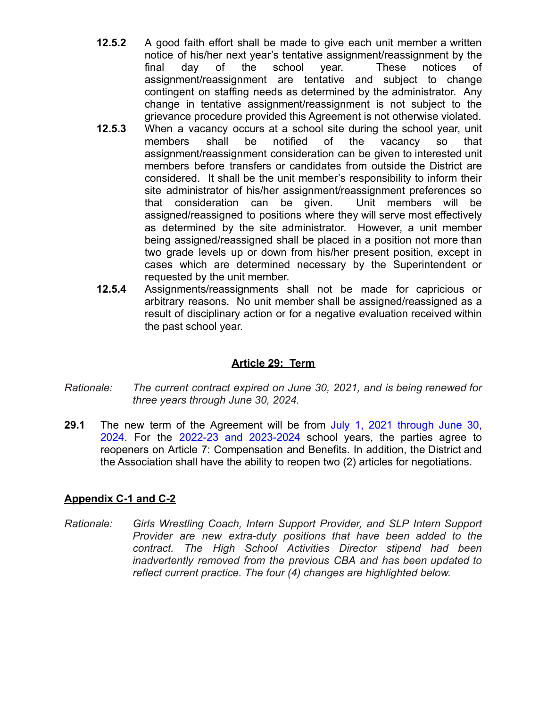- **12.5.2** A good faith effort shall be made to give each unit member a written notice of his/her next year's tentative assignment/reassignment by the final day of the school year. These notices of assignment/reassignment are tentative and subject to change contingent on staffing needs as determined by the administrator. Any change in tentative assignment/reassignment is not subject to the grievance procedure provided this Agreement is not otherwise violated.
- **12.5.3** When a vacancy occurs at a school site during the school year, unit members shall be notified of the vacancy so that assignment/reassignment consideration can be given to interested unit members before transfers or candidates from outside the District are considered. It shall be the unit member's responsibility to inform their site administrator of his/her assignment/reassignment preferences so that consideration can be given. Unit members will be assigned/reassigned to positions where they will serve most effectively as determined by the site administrator. However, a unit member being assigned/reassigned shall be placed in a position not more than two grade levels up or down from his/her present position, except in cases which are determined necessary by the Superintendent or requested by the unit member.
- **12.5.4** Assignments/reassignments shall not be made for capricious or arbitrary reasons. No unit member shall be assigned/reassigned as a result of disciplinary action or for a negative evaluation received within the past school year.

# **Article 29: Term**

- *Rationale: The current contract expired on June 30, 2021, and is being renewed for three years through June 30, 2024.*
- **29.1** The new term of the Agreement will be from July 1, 2021 through June 30, 2024. For the 2022-23 and 2023-2024 school years, the parties agree to reopeners on Article 7: Compensation and Benefits. In addition, the District and the Association shall have the ability to reopen two (2) articles for negotiations.

# **Appendix C-1 and C-2**

*Rationale: Girls Wrestling Coach, Intern Support Provider, and SLP Intern Support Provider are new extra-duty positions that have been added to the contract. The High School Activities Director stipend had been inadvertently removed from the previous CBA and has been updated to reflect current practice. The four (4) changes are highlighted below.*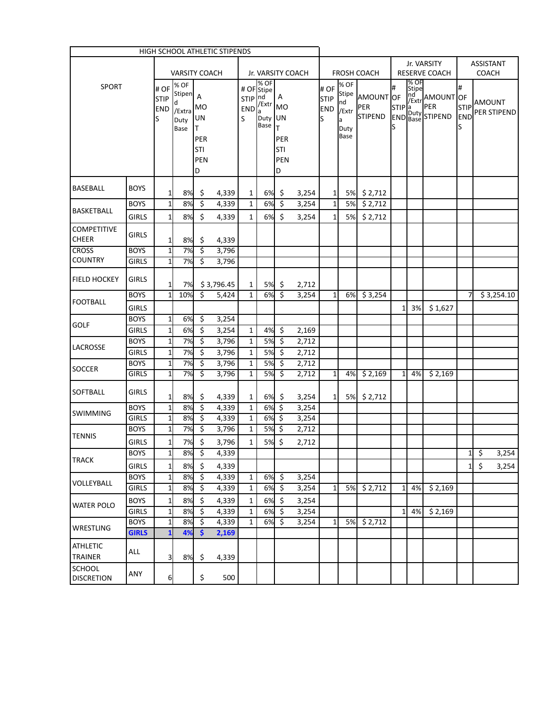|                                   |                             |                                         |                                                 |                        | <b>HIGH SCHOOL ATHLETIC STIPENDS</b> |                              |                                                                          |                        |                |                                         |                                                    |                                    |              |               |                                                  |                      |              |                                       |
|-----------------------------------|-----------------------------|-----------------------------------------|-------------------------------------------------|------------------------|--------------------------------------|------------------------------|--------------------------------------------------------------------------|------------------------|----------------|-----------------------------------------|----------------------------------------------------|------------------------------------|--------------|---------------|--------------------------------------------------|----------------------|--------------|---------------------------------------|
|                                   |                             |                                         |                                                 |                        |                                      |                              |                                                                          |                        |                |                                         | Jr. VARSITY                                        |                                    |              |               |                                                  | <b>ASSISTANT</b>     |              |                                       |
|                                   |                             |                                         | <b>VARSITY COACH</b>                            |                        |                                      |                              | Jr. VARSITY COACH                                                        |                        |                |                                         |                                                    | <b>FROSH COACH</b>                 |              |               | <b>RESERVE COACH</b>                             |                      | <b>COACH</b> |                                       |
| <b>SPORT</b>                      |                             | l# OF<br><b>STIP</b><br><b>END</b><br>S | % OF<br>Stipen A<br>d<br>/Extra<br>Duty<br>Base | <b>MO</b><br>UN<br>T   |                                      | STIP nd<br>S                 | % OF<br># OF Stipe<br>$END \frac{1}{2}$ Extr MO<br>la<br>Duty UN<br>Base | A<br>T                 |                | # OF<br><b>STIP</b><br><b>END</b><br>lS | % OF<br><b>Stipe</b><br>nd<br>/Extr<br>la.<br>Duty | AMOUNT OF<br>PER<br><b>STIPEND</b> | #<br>S       | % OF<br>Stipe | nd AMOUNT OF<br>STIP and PER<br>END Base STIPEND | #<br><b>END</b><br>S |              | STIP <sup>AMOUNT</sup><br>PER STIPEND |
|                                   |                             |                                         |                                                 | PER<br>STI<br>PEN<br>D |                                      |                              |                                                                          | PER<br>STI<br>PEN<br>D |                |                                         | <b>Base</b>                                        |                                    |              |               |                                                  |                      |              |                                       |
| BASEBALL                          | <b>BOYS</b>                 | $1\overline{ }$                         | 8%                                              | \$                     | 4,339                                | 1                            | 6%I                                                                      | \$.                    | 3,254          | $\mathbf{1}$                            | 5% l                                               | \$2,712                            |              |               |                                                  |                      |              |                                       |
|                                   | <b>BOYS</b>                 | $\mathbf{1}$                            | 8%                                              | \$                     | 4,339                                | $\mathbf{1}$                 | 6%                                                                       | \$                     | 3,254          | $\mathbf{1}$                            | 5%                                                 | \$2,712                            |              |               |                                                  |                      |              |                                       |
| BASKETBALL                        | <b>GIRLS</b>                | $1\vert$                                | 8%                                              | \$                     | 4,339                                | $\mathbf{1}$                 | 6%                                                                       | \$                     | 3,254          | $\mathbf{1}$                            | 5%                                                 | \$2,712                            |              |               |                                                  |                      |              |                                       |
| <b>COMPETITIVE</b><br>CHEER       | <b>GIRLS</b>                | $\mathbf{1}$                            | 8%                                              | \$                     | 4,339                                |                              |                                                                          |                        |                |                                         |                                                    |                                    |              |               |                                                  |                      |              |                                       |
| <b>CROSS</b>                      | <b>BOYS</b>                 | $\mathbf{1}$                            | 7%                                              | \$                     | 3,796                                |                              |                                                                          |                        |                |                                         |                                                    |                                    |              |               |                                                  |                      |              |                                       |
| <b>COUNTRY</b>                    | <b>GIRLS</b>                | $\mathbf{1}$                            | 7%                                              | \$                     | 3,796                                |                              |                                                                          |                        |                |                                         |                                                    |                                    |              |               |                                                  |                      |              |                                       |
| <b>FIELD HOCKEY</b>               | <b>GIRLS</b>                | $1\overline{ }$                         | 7%                                              |                        | \$3,796.45                           | 1                            | 5%                                                                       | \$.                    | 2,712          |                                         |                                                    |                                    |              |               |                                                  |                      |              |                                       |
| <b>FOOTBALL</b>                   | <b>BOYS</b>                 | $\overline{1}$                          | 10%                                             | \$                     | 5,424                                | $\mathbf{1}$                 | 6%                                                                       | \$                     | 3,254          | $\mathbf{1}$                            | 6%                                                 | \$3,254                            |              |               |                                                  | 7                    |              | \$3,254.10                            |
|                                   | <b>GIRLS</b>                |                                         |                                                 |                        |                                      |                              |                                                                          |                        |                |                                         |                                                    |                                    | $\mathbf{1}$ | 3%            | \$1,627                                          |                      |              |                                       |
| <b>GOLF</b>                       | <b>BOYS</b>                 | $\mathbf{1}$                            | 6%                                              | \$                     | 3,254                                |                              |                                                                          |                        |                |                                         |                                                    |                                    |              |               |                                                  |                      |              |                                       |
|                                   | <b>GIRLS</b>                | $\mathbf 1$                             | 6%                                              | \$                     | 3,254                                | $\mathbf{1}$                 | 4%                                                                       | \$                     | 2,169          |                                         |                                                    |                                    |              |               |                                                  |                      |              |                                       |
| LACROSSE                          | <b>BOYS</b>                 | $\mathbf{1}$                            | 7%                                              | \$                     | 3,796                                | $\mathbf{1}$                 | 5%                                                                       | \$                     | 2,712          |                                         |                                                    |                                    |              |               |                                                  |                      |              |                                       |
|                                   | <b>GIRLS</b>                | $\mathbf{1}$                            | 7%                                              | \$                     | 3,796                                | $\mathbf{1}$                 | 5%                                                                       | \$                     | 2,712          |                                         |                                                    |                                    |              |               |                                                  |                      |              |                                       |
| SOCCER                            | <b>BOYS</b>                 | $\mathbf{1}$                            | 7%                                              | \$                     | 3,796                                | 1                            | 5%                                                                       | \$                     | 2,712          |                                         |                                                    |                                    |              |               |                                                  |                      |              |                                       |
|                                   | <b>GIRLS</b>                | 1                                       | 7%                                              | \$                     | 3,796                                | $\mathbf{1}$                 | 5%                                                                       | \$                     | 2,712          | $\mathbf{1}$                            | 4%                                                 | \$2,169                            | 1            | 4%            | \$2,169                                          |                      |              |                                       |
| SOFTBALL                          | <b>GIRLS</b>                | $1\vert$                                | 8%                                              | \$                     | 4,339                                | $\mathbf{1}$                 | 6%                                                                       | \$                     | 3,254          | 11                                      |                                                    | 5% \$2,712                         |              |               |                                                  |                      |              |                                       |
| <b>SWIMMING</b>                   | <b>BOYS</b>                 | $\mathbf{1}$                            | 8%                                              | \$                     | 4,339                                | $\mathbf{1}$                 | 6%                                                                       | $\zeta$                | 3,254          |                                         |                                                    |                                    |              |               |                                                  |                      |              |                                       |
|                                   | <b>GIRLS</b><br><b>BOYS</b> | $\mathbf 1$<br>$\mathbf{1}$             | 8%<br>7%                                        | \$<br>\$               | 4,339<br>3,796                       | $\mathbf{1}$<br>$\mathbf{1}$ | 6%<br>5%                                                                 | $\zeta$<br>\$          | 3,254<br>2,712 |                                         |                                                    |                                    |              |               |                                                  |                      |              |                                       |
| <b>TENNIS</b>                     |                             |                                         |                                                 | \$                     |                                      | $\mathbf{1}$                 | 5%                                                                       | $\boldsymbol{\zeta}$   |                |                                         |                                                    |                                    |              |               |                                                  |                      |              |                                       |
|                                   | <b>GIRLS</b><br><b>BOYS</b> | $1\vert$<br>$\mathbf{1}$                | 7%<br>8%                                        | \$                     | 3,796<br>4,339                       |                              |                                                                          |                        | 2,712          |                                         |                                                    |                                    |              |               |                                                  | 1                    | \$           | 3,254                                 |
| <b>TRACK</b>                      | <b>GIRLS</b>                | $\mathbf{1}$                            | 8%                                              | \$                     | 4,339                                |                              |                                                                          |                        |                |                                         |                                                    |                                    |              |               |                                                  | $\mathbf{1}$         | \$           | 3,254                                 |
|                                   | <b>BOYS</b>                 | $\mathbf 1$                             | 8%                                              | \$                     | 4,339                                | $\mathbf{1}$                 | 6%                                                                       | \$                     | 3,254          |                                         |                                                    |                                    |              |               |                                                  |                      |              |                                       |
| VOLLEYBALL                        | <b>GIRLS</b>                | $\mathbf 1$                             | 8%                                              | \$                     | 4,339                                | $\mathbf{1}$                 | 6%                                                                       | \$                     | 3,254          | $\mathbf{1}$                            | 5%                                                 | \$2,712                            | $\mathbf{1}$ | 4%            | \$2,169                                          |                      |              |                                       |
|                                   | <b>BOYS</b>                 | $\mathbf{1}$                            | 8%                                              | \$                     | 4,339                                | 1                            | 6%                                                                       | \$                     | 3,254          |                                         |                                                    |                                    |              |               |                                                  |                      |              |                                       |
| WATER POLO                        | <b>GIRLS</b>                | $\mathbf{1}$                            | 8%                                              | \$                     | 4,339                                | 1                            | 6%                                                                       | \$                     | 3,254          |                                         |                                                    |                                    | $\mathbf{1}$ | 4%            | \$2,169                                          |                      |              |                                       |
|                                   | <b>BOYS</b>                 | $\mathbf{1}$                            | 8%                                              | \$                     | 4,339                                | 1                            | 6%                                                                       | \$                     | 3,254          | 1                                       | 5%                                                 | \$2,712                            |              |               |                                                  |                      |              |                                       |
| WRESTLING                         | <b>GIRLS</b>                | $\overline{\mathbf{1}}$                 | 4%                                              | \$                     | 2,169                                |                              |                                                                          |                        |                |                                         |                                                    |                                    |              |               |                                                  |                      |              |                                       |
| <b>ATHLETIC</b><br><b>TRAINER</b> | ALL                         | 3                                       | 8%                                              | \$                     | 4,339                                |                              |                                                                          |                        |                |                                         |                                                    |                                    |              |               |                                                  |                      |              |                                       |
| SCHOOL<br><b>DISCRETION</b>       | ANY                         | 6                                       |                                                 | \$                     | 500                                  |                              |                                                                          |                        |                |                                         |                                                    |                                    |              |               |                                                  |                      |              |                                       |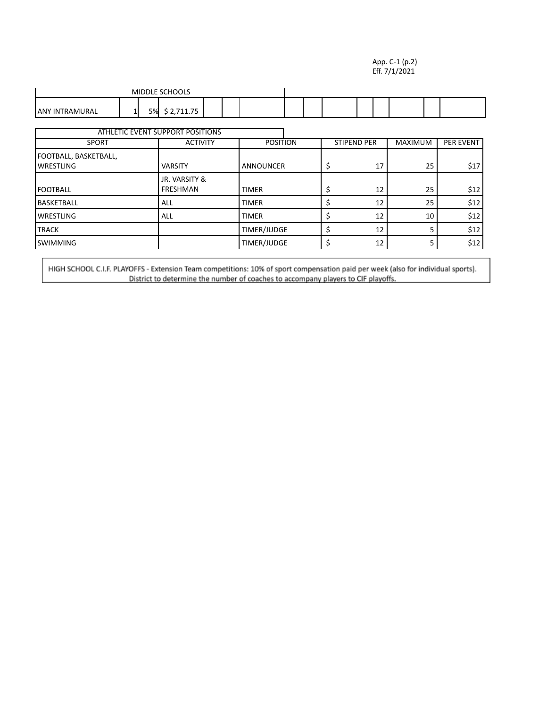#### App. C-1 (p.2) Eff. 7/1/2021

| MIDDLE SCHOOLS                  |  |    |                                              |  |  |  |  |  |  |  |
|---------------------------------|--|----|----------------------------------------------|--|--|--|--|--|--|--|
| <b>LANY</b><br>TRAMURAL<br>- IN |  | 5% | $\overline{\phantom{a}}$<br><b>II.J</b><br>٠ |  |  |  |  |  |  |  |

|                                           | ATHLETIC EVENT SUPPORT POSITIONS |                  |  |                    |                |                  |
|-------------------------------------------|----------------------------------|------------------|--|--------------------|----------------|------------------|
| <b>SPORT</b>                              | <b>ACTIVITY</b>                  | <b>POSITION</b>  |  | <b>STIPEND PER</b> | <b>MAXIMUM</b> | <b>PER EVENT</b> |
| FOOTBALL, BASKETBALL,<br><b>WRESTLING</b> | <b>VARSITY</b>                   | <b>ANNOUNCER</b> |  | 17                 | 25             | \$17             |
| <b>FOOTBALL</b>                           | JR. VARSITY &<br>FRESHMAN        | <b>TIMER</b>     |  | 12                 | 25             | \$12             |
| <b>BASKETBALL</b>                         | <b>ALL</b>                       | <b>TIMER</b>     |  | 12                 | 25             | \$12             |
| <b>WRESTLING</b>                          | ALL                              | <b>TIMER</b>     |  | 12                 | 10             | \$12             |
| <b>TRACK</b>                              |                                  | TIMER/JUDGE      |  | 12                 |                | \$12             |
| <b>SWIMMING</b>                           |                                  | TIMER/JUDGE      |  | 12                 |                | \$12             |

HIGH SCHOOL C.I.F. PLAYOFFS - Extension Team competitions: 10% of sport compensation paid per week (also for individual sports).<br>District to determine the number of coaches to accompany players to CIF playoffs.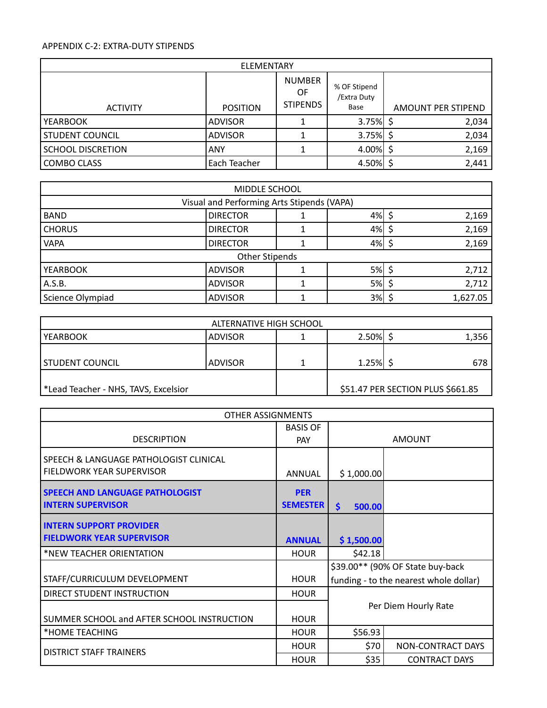#### APPENDIX C-2: EXTRA-DUTY STIPENDS

| ELEMENTARY               |                 |                                        |                                     |                    |  |  |  |  |  |  |
|--------------------------|-----------------|----------------------------------------|-------------------------------------|--------------------|--|--|--|--|--|--|
| <b>ACTIVITY</b>          | <b>POSITION</b> | <b>NUMBER</b><br>OF<br><b>STIPENDS</b> | % OF Stipend<br>/Extra Duty<br>Base | AMOUNT PER STIPEND |  |  |  |  |  |  |
| <b>YEARBOOK</b>          | <b>ADVISOR</b>  |                                        | $3.75\%$ \$                         | 2,034              |  |  |  |  |  |  |
| STUDENT COUNCIL          | <b>ADVISOR</b>  |                                        | $3.75\%$ \$                         | 2,034              |  |  |  |  |  |  |
| <b>SCHOOL DISCRETION</b> | <b>ANY</b>      |                                        | $4.00\%$ \$                         | 2,169              |  |  |  |  |  |  |
| COMBO CLASS              | Each Teacher    |                                        | 4.50%                               | 2,441              |  |  |  |  |  |  |

| MIDDLE SCHOOL                              |                 |  |    |  |          |  |  |  |  |  |
|--------------------------------------------|-----------------|--|----|--|----------|--|--|--|--|--|
| Visual and Performing Arts Stipends (VAPA) |                 |  |    |  |          |  |  |  |  |  |
| <b>BAND</b>                                | <b>DIRECTOR</b> |  | 4% |  | 2,169    |  |  |  |  |  |
| <b>CHORUS</b>                              | <b>DIRECTOR</b> |  | 4% |  | 2,169    |  |  |  |  |  |
| <b>VAPA</b>                                | <b>DIRECTOR</b> |  | 4% |  | 2,169    |  |  |  |  |  |
| <b>Other Stipends</b>                      |                 |  |    |  |          |  |  |  |  |  |
| <b>YEARBOOK</b>                            | <b>ADVISOR</b>  |  | 5% |  | 2,712    |  |  |  |  |  |
| A.S.B.                                     | <b>ADVISOR</b>  |  | 5% |  | 2,712    |  |  |  |  |  |
| Science Olympiad                           | <b>ADVISOR</b>  |  | 3% |  | 1,627.05 |  |  |  |  |  |

| ALTERNATIVE HIGH SCHOOL                         |                |  |            |  |                                   |  |  |  |  |
|-------------------------------------------------|----------------|--|------------|--|-----------------------------------|--|--|--|--|
| l YEARBOOK                                      | <b>ADVISOR</b> |  | $2.50\%$ . |  | 1,356                             |  |  |  |  |
| l STUDENT COUNCIL                               | <b>ADVISOR</b> |  | 1.25%      |  | 678                               |  |  |  |  |
| Excelsion + Lead Teacher - NHS, TAVS, Excelsion |                |  |            |  | \$51.47 PER SECTION PLUS \$661.85 |  |  |  |  |

| <b>OTHER ASSIGNMENTS</b>                                            |                 |               |                                        |  |  |  |  |  |
|---------------------------------------------------------------------|-----------------|---------------|----------------------------------------|--|--|--|--|--|
|                                                                     | <b>BASIS OF</b> |               |                                        |  |  |  |  |  |
| <b>DESCRIPTION</b>                                                  | <b>PAY</b>      | <b>AMOUNT</b> |                                        |  |  |  |  |  |
| SPEECH & LANGUAGE PATHOLOGIST CLINICAL<br>FIELDWORK YEAR SUPERVISOR | <b>ANNUAL</b>   | \$1,000.00    |                                        |  |  |  |  |  |
| <b>SPEECH AND LANGUAGE PATHOLOGIST</b>                              | <b>PER</b>      |               |                                        |  |  |  |  |  |
| <b>INTERN SUPERVISOR</b>                                            | <b>SEMESTER</b> | \$<br>500.00  |                                        |  |  |  |  |  |
| <b>INTERN SUPPORT PROVIDER</b>                                      |                 |               |                                        |  |  |  |  |  |
| <b>FIELDWORK YEAR SUPERVISOR</b>                                    | <b>ANNUAL</b>   | \$1,500.00    |                                        |  |  |  |  |  |
| *NEW TEACHER ORIENTATION                                            | <b>HOUR</b>     | \$42.18       |                                        |  |  |  |  |  |
|                                                                     |                 |               | \$39.00** (90% OF State buy-back       |  |  |  |  |  |
| STAFF/CURRICULUM DEVELOPMENT                                        | <b>HOUR</b>     |               | funding - to the nearest whole dollar) |  |  |  |  |  |
| <b>DIRECT STUDENT INSTRUCTION</b>                                   | <b>HOUR</b>     |               |                                        |  |  |  |  |  |
|                                                                     |                 |               | Per Diem Hourly Rate                   |  |  |  |  |  |
| SUMMER SCHOOL and AFTER SCHOOL INSTRUCTION                          | <b>HOUR</b>     |               |                                        |  |  |  |  |  |
| *HOME TEACHING                                                      | <b>HOUR</b>     | \$56.93       |                                        |  |  |  |  |  |
| <b>DISTRICT STAFF TRAINERS</b>                                      | <b>HOUR</b>     | \$70          | NON-CONTRACT DAYS                      |  |  |  |  |  |
|                                                                     | <b>HOUR</b>     | \$35          | <b>CONTRACT DAYS</b>                   |  |  |  |  |  |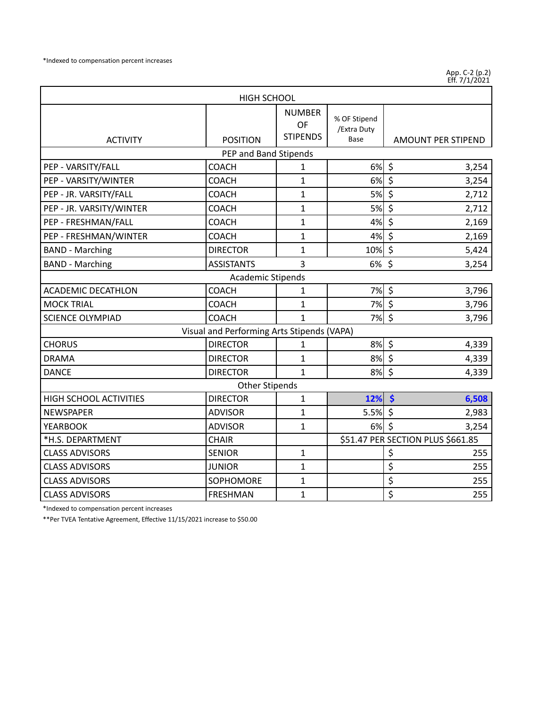App. C-2 (p.2) Eff. 7/1/2021

| <b>HIGH SCHOOL</b>            |                                            |                                        |                                     |                                          |  |  |  |  |  |
|-------------------------------|--------------------------------------------|----------------------------------------|-------------------------------------|------------------------------------------|--|--|--|--|--|
| <b>ACTIVITY</b>               | <b>POSITION</b>                            | <b>NUMBER</b><br>OF<br><b>STIPENDS</b> | % OF Stipend<br>/Extra Duty<br>Base | <b>AMOUNT PER STIPEND</b>                |  |  |  |  |  |
|                               | PEP and Band Stipends                      |                                        |                                     |                                          |  |  |  |  |  |
| PEP - VARSITY/FALL            | <b>COACH</b>                               | 1                                      | 6%                                  | \$<br>3,254                              |  |  |  |  |  |
| PEP - VARSITY/WINTER          | <b>COACH</b>                               | $\mathbf{1}$                           | 6%                                  | $\overline{\boldsymbol{\zeta}}$<br>3,254 |  |  |  |  |  |
| PEP - JR. VARSITY/FALL        | <b>COACH</b>                               | 1                                      | 5%                                  | \$<br>2,712                              |  |  |  |  |  |
| PEP - JR. VARSITY/WINTER      | <b>COACH</b>                               | $\mathbf{1}$                           | <b>5%</b>                           | \$<br>2,712                              |  |  |  |  |  |
| PEP - FRESHMAN/FALL           | <b>COACH</b>                               | 1                                      | 4%                                  | \$<br>2,169                              |  |  |  |  |  |
| PEP - FRESHMAN/WINTER         | <b>COACH</b>                               | $\mathbf{1}$                           | 4%                                  | \$<br>2,169                              |  |  |  |  |  |
| <b>BAND - Marching</b>        | <b>DIRECTOR</b>                            | $\mathbf{1}$                           | 10%                                 | \$<br>5,424                              |  |  |  |  |  |
| <b>BAND - Marching</b>        | <b>ASSISTANTS</b>                          | 3                                      | 6%                                  | \$<br>3,254                              |  |  |  |  |  |
|                               | <b>Academic Stipends</b>                   |                                        |                                     |                                          |  |  |  |  |  |
| <b>ACADEMIC DECATHLON</b>     | <b>COACH</b>                               | 1                                      | 7%                                  | $\overline{\xi}$<br>3,796                |  |  |  |  |  |
| <b>MOCK TRIAL</b>             | <b>COACH</b>                               | $\mathbf{1}$                           | 7%                                  | $\zeta$<br>3,796                         |  |  |  |  |  |
| <b>SCIENCE OLYMPIAD</b>       | <b>COACH</b>                               | $\overline{1}$                         | 7% \$                               | 3,796                                    |  |  |  |  |  |
|                               | Visual and Performing Arts Stipends (VAPA) |                                        |                                     |                                          |  |  |  |  |  |
| <b>CHORUS</b>                 | <b>DIRECTOR</b>                            | 1                                      | 8%                                  | $\zeta$<br>4,339                         |  |  |  |  |  |
| <b>DRAMA</b>                  | <b>DIRECTOR</b>                            | 1                                      | 8%                                  | $\zeta$<br>4,339                         |  |  |  |  |  |
| <b>DANCE</b>                  | <b>DIRECTOR</b>                            | $\mathbf{1}$                           | 8%                                  | $\zeta$<br>4,339                         |  |  |  |  |  |
|                               | <b>Other Stipends</b>                      |                                        |                                     |                                          |  |  |  |  |  |
| <b>HIGH SCHOOL ACTIVITIES</b> | <b>DIRECTOR</b>                            | 1                                      | 12%                                 | $\dot{\bm{\zeta}}$<br>6,508              |  |  |  |  |  |
| <b>NEWSPAPER</b>              | <b>ADVISOR</b>                             | 1                                      | 5.5%                                | $\zeta$<br>2,983                         |  |  |  |  |  |
| <b>YEARBOOK</b>               | <b>ADVISOR</b>                             | $\mathbf{1}$                           | 6%                                  | $\zeta$<br>3,254                         |  |  |  |  |  |
| *H.S. DEPARTMENT              | <b>CHAIR</b>                               |                                        |                                     | \$51.47 PER SECTION PLUS \$661.85        |  |  |  |  |  |
| <b>CLASS ADVISORS</b>         | <b>SENIOR</b>                              | 1                                      |                                     | \$<br>255                                |  |  |  |  |  |
| <b>CLASS ADVISORS</b>         | <b>JUNIOR</b>                              | 1                                      |                                     | \$<br>255                                |  |  |  |  |  |
| <b>CLASS ADVISORS</b>         | SOPHOMORE                                  | $\mathbf{1}$                           |                                     | \$<br>255                                |  |  |  |  |  |
| <b>CLASS ADVISORS</b>         | <b>FRESHMAN</b>                            | 1                                      |                                     | \$<br>255                                |  |  |  |  |  |

\*Indexed to compensation percent increases

\*\*Per TVEA Tentative Agreement, Effective 11/15/2021 increase to \$50.00